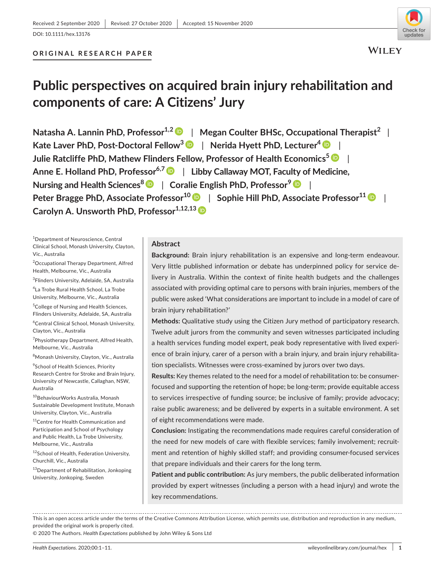#### **ORIGINAL RESEARCH PAPER**



**WILEY** 

## **Public perspectives on acquired brain injury rehabilitation and components of care: A Citizens' Jury**

**Natasha A. Lannin PhD, Professor<sup>1,2</sup> D** | Megan Coulter BHSc, Occupational Therapist<sup>2</sup> | **Kate Laver PhD, Post-Doctoral Fellow[3](https://orcid.org/0000-0003-0259-2209)** | **Nerida Hyett PhD, Lecturer[4](https://orcid.org/0000-0003-0554-1773)** | **Julie Ratcliffe PhD, Mathew Flinders Fellow, Professor of Health Economics[5](https://orcid.org/0000-0001-7365-1988)** | **Anne E. Holland PhD, Professor6,[7](https://orcid.org/0000-0003-2061-845X)** | **Libby Callaway MOT, Faculty of Medicine, Nursing and Health Sciences<sup>8</sup>** | **Coralie English PhD, Professor[9](https://orcid.org/0000-0001-5910-7927)** | **Peter Bragge PhD, Associate Professor<sup>1[0](https://orcid.org/0000-0003-0745-5131)</sup> | Sophie Hill PhD, Associate Professor<sup>[1](https://orcid.org/0000-0002-1715-5338)1</sup> | <b>| Carolyn A. Unsworth PhD, Professor**<sup>1,12,1[3](https://orcid.org/0000-0001-6430-2823)</sup>

1 Department of Neuroscience, Central Clinical School, Monash University, Clayton, Vic., Australia

<sup>2</sup> Occupational Therapy Department, Alfred Health, Melbourne, Vic., Australia

3 Flinders University, Adelaide, SA, Australia

4 La Trobe Rural Health School, La Trobe University, Melbourne, Vic., Australia

5 College of Nursing and Health Sciences, Flinders University, Adelaide, SA, Australia

6 Central Clinical School, Monash University, Clayton, Vic., Australia

7 Physiotherapy Department, Alfred Health, Melbourne, Vic., Australia

8 Monash University, Clayton, Vic., Australia

9 School of Health Sciences, Priority Research Centre for Stroke and Brain Injury, University of Newcastle, Callaghan, NSW, Australia

<sup>10</sup>BehaviourWorks Australia, Monash Sustainable Development Institute, Monash University, Clayton, Vic., Australia

<sup>11</sup>Centre for Health Communication and Participation and School of Psychology and Public Health, La Trobe University, Melbourne, Vic., Australia

12School of Health, Federation University, Churchill, Vic., Australia

13Department of Rehabilitation, Jonkoping University, Jonkoping, Sweden

#### **Abstract**

**Background:** Brain injury rehabilitation is an expensive and long-term endeavour. Very little published information or debate has underpinned policy for service delivery in Australia. Within the context of finite health budgets and the challenges associated with providing optimal care to persons with brain injuries, members of the public were asked 'What considerations are important to include in a model of care of brain injury rehabilitation?'

**Methods:** Qualitative study using the Citizen Jury method of participatory research. Twelve adult jurors from the community and seven witnesses participated including a health services funding model expert, peak body representative with lived experience of brain injury, carer of a person with a brain injury, and brain injury rehabilitation specialists. Witnesses were cross-examined by jurors over two days.

**Results:** Key themes related to the need for a model of rehabilitation to: be consumerfocused and supporting the retention of hope; be long-term; provide equitable access to services irrespective of funding source; be inclusive of family; provide advocacy; raise public awareness; and be delivered by experts in a suitable environment. A set of eight recommendations were made.

**Conclusion:** Instigating the recommendations made requires careful consideration of the need for new models of care with flexible services; family involvement; recruitment and retention of highly skilled staff; and providing consumer-focused services that prepare individuals and their carers for the long term.

**Patient and public contribution:** As jury members, the public deliberated information provided by expert witnesses (including a person with a head injury) and wrote the key recommendations.

This is an open access article under the terms of the [Creative Commons Attribution](http://creativecommons.org/licenses/by/4.0/) License, which permits use, distribution and reproduction in any medium, provided the original work is properly cited.

© 2020 The Authors. *Health Expectations* published by John Wiley & Sons Ltd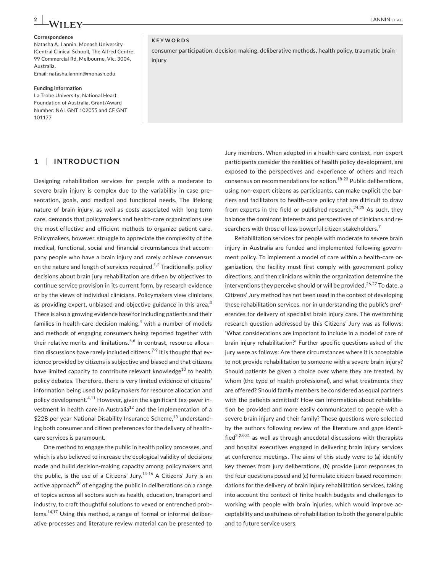# **2 b LANNIN** ET AL.

#### **Correspondence**

Natasha A. Lannin, Monash University (Central Clinical School), The Alfred Centre, 99 Commercial Rd, Melbourne, Vic. 3004, Australia.

Email: [natasha.lannin@monash.edu](mailto:natasha.lannin@monash.edu)

#### **Funding information**

La Trobe University; National Heart Foundation of Australia, Grant/Award Number: NAL GNT 102055 and CE GNT 101177

## **1** | **INTRODUCTION**

Designing rehabilitation services for people with a moderate to severe brain injury is complex due to the variability in case presentation, goals, and medical and functional needs. The lifelong nature of brain injury, as well as costs associated with long-term care, demands that policymakers and health-care organizations use the most effective and efficient methods to organize patient care. Policymakers, however, struggle to appreciate the complexity of the medical, functional, social and financial circumstances that accompany people who have a brain injury and rarely achieve consensus on the nature and length of services required.<sup>1,2</sup> Traditionally, policy decisions about brain jury rehabilitation are driven by objectives to continue service provision in its current form, by research evidence or by the views of individual clinicians. Policymakers view clinicians as providing expert, unbiased and objective guidance in this area.<sup>3</sup> There is also a growing evidence base for including patients and their families in health-care decision making, $4$  with a number of models and methods of engaging consumers being reported together with their relative merits and limitations.<sup>5,6</sup> In contrast, resource allocation discussions have rarely included citizens.<sup>7-9</sup> It is thought that evidence provided by citizens is subjective and biased and that citizens have limited capacity to contribute relevant knowledge $^{10}$  to health policy debates. Therefore, there is very limited evidence of citizens' information being used by policymakers for resource allocation and policy development.<sup>4,11</sup> However, given the significant tax-payer investment in health care in Australia<sup>12</sup> and the implementation of a \$22B per year National Disability Insurance Scheme,<sup>13</sup> understanding both consumer and citizen preferences for the delivery of healthcare services is paramount.

One method to engage the public in health policy processes, and which is also believed to increase the ecological validity of decisions made and build decision-making capacity among policymakers and the public, is the use of a Citizens' Jury.<sup>14-16</sup> A Citizens' Jury is an active approach<sup>10</sup> of engaging the public in deliberations on a range of topics across all sectors such as health, education, transport and industry, to craft thoughtful solutions to vexed or entrenched problems.<sup>14,17</sup> Using this method, a range of formal or informal deliberative processes and literature review material can be presented to

#### **KEYWORDS**

consumer participation, decision making, deliberative methods, health policy, traumatic brain injury

> Jury members. When adopted in a health-care context, non-expert participants consider the realities of health policy development, are exposed to the perspectives and experience of others and reach consensus on recommendations for action.18-23 Public deliberations, using non-expert citizens as participants, can make explicit the barriers and facilitators to health-care policy that are difficult to draw from experts in the field or published research.<sup>24,25</sup> As such, they balance the dominant interests and perspectives of clinicians and researchers with those of less powerful citizen stakeholders.<sup>7</sup>

> Rehabilitation services for people with moderate to severe brain injury in Australia are funded and implemented following government policy. To implement a model of care within a health-care organization, the facility must first comply with government policy directions, and then clinicians within the organization determine the interventions they perceive should or will be provided.<sup>26,27</sup> To date, a Citizens' Jury method has not been used in the context of developing these rehabilitation services, nor in understanding the public's preferences for delivery of specialist brain injury care. The overarching research question addressed by this Citizens' Jury was as follows: 'What considerations are important to include in a model of care of brain injury rehabilitation?' Further specific questions asked of the jury were as follows: Are there circumstances where it is acceptable to not provide rehabilitation to someone with a severe brain injury? Should patients be given a choice over where they are treated, by whom (the type of health professional), and what treatments they are offered? Should family members be considered as equal partners with the patients admitted? How can information about rehabilitation be provided and more easily communicated to people with a severe brain injury and their family? These questions were selected by the authors following review of the literature and gaps identi $fied^{2,28-31}$  as well as through anecdotal discussions with therapists and hospital executives engaged in delivering brain injury services at conference meetings. The aims of this study were to (a) identify key themes from jury deliberations, (b) provide juror responses to the four questions posed and (c) formulate citizen-based recommendations for the delivery of brain injury rehabilitation services, taking into account the context of finite health budgets and challenges to working with people with brain injuries, which would improve acceptability and usefulness of rehabilitation to both the general public and to future service users.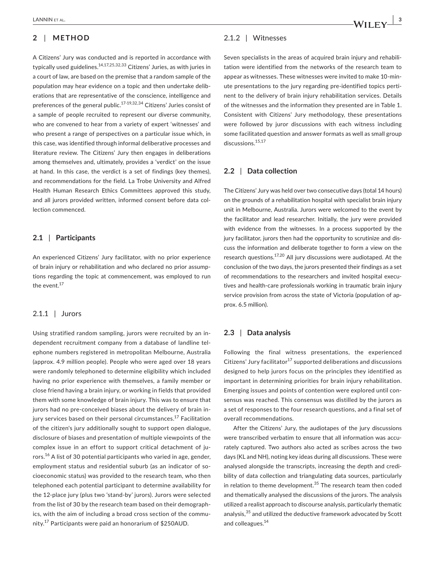### **2** | **METHOD**

A Citizens' Jury was conducted and is reported in accordance with typically used guidelines.<sup>14,17,25,32,33</sup> Citizens' Juries, as with juries in a court of law, are based on the premise that a random sample of the population may hear evidence on a topic and then undertake deliberations that are representative of the conscience, intelligence and preferences of the general public.17-19,32,34 Citizens' Juries consist of a sample of people recruited to represent our diverse community, who are convened to hear from a variety of expert 'witnesses' and who present a range of perspectives on a particular issue which, in this case, was identified through informal deliberative processes and literature review. The Citizens' Jury then engages in deliberations among themselves and, ultimately, provides a 'verdict' on the issue at hand. In this case, the verdict is a set of findings (key themes), and recommendations for the field. La Trobe University and Alfred Health Human Research Ethics Committees approved this study, and all jurors provided written, informed consent before data collection commenced.

#### **2.1** | **Participants**

An experienced Citizens' Jury facilitator, with no prior experience of brain injury or rehabilitation and who declared no prior assumptions regarding the topic at commencement, was employed to run the event.<sup>17</sup>

#### 2.1.1 | Jurors

Using stratified random sampling, jurors were recruited by an independent recruitment company from a database of landline telephone numbers registered in metropolitan Melbourne, Australia (approx. 4.9 million people). People who were aged over 18 years were randomly telephoned to determine eligibility which included having no prior experience with themselves, a family member or close friend having a brain injury, or working in fields that provided them with some knowledge of brain injury. This was to ensure that jurors had no pre-conceived biases about the delivery of brain injury services based on their personal circumstances.<sup>17</sup> Facilitation of the citizen's jury additionally sought to support open dialogue, disclosure of biases and presentation of multiple viewpoints of the complex issue in an effort to support critical detachment of jurors.16 A list of 30 potential participants who varied in age, gender, employment status and residential suburb (as an indicator of socioeconomic status) was provided to the research team, who then telephoned each potential participant to determine availability for the 12-place jury (plus two 'stand-by' jurors). Jurors were selected from the list of 30 by the research team based on their demographics, with the aim of including a broad cross section of the community.17 Participants were paid an honorarium of \$250AUD.

#### 2.1.2 | Witnesses

Seven specialists in the areas of acquired brain injury and rehabilitation were identified from the networks of the research team to appear as witnesses. These witnesses were invited to make 10-minute presentations to the jury regarding pre-identified topics pertinent to the delivery of brain injury rehabilitation services. Details of the witnesses and the information they presented are in Table 1. Consistent with Citizens' Jury methodology, these presentations were followed by juror discussions with each witness including some facilitated question and answer formats as well as small group discussions.<sup>15,17</sup>

#### **2.2** | **Data collection**

The Citizens' Jury was held over two consecutive days (total 14 hours) on the grounds of a rehabilitation hospital with specialist brain injury unit in Melbourne, Australia. Jurors were welcomed to the event by the facilitator and lead researcher. Initially, the jury were provided with evidence from the witnesses. In a process supported by the jury facilitator, jurors then had the opportunity to scrutinize and discuss the information and deliberate together to form a view on the research questions.<sup>17,20</sup> All jury discussions were audiotaped. At the conclusion of the two days, the jurors presented their findings as a set of recommendations to the researchers and invited hospital executives and health-care professionals working in traumatic brain injury service provision from across the state of Victoria (population of approx. 6.5 million).

#### **2.3** | **Data analysis**

Following the final witness presentations, the experienced Citizens' Jury facilitator<sup>17</sup> supported deliberations and discussions designed to help jurors focus on the principles they identified as important in determining priorities for brain injury rehabilitation. Emerging issues and points of contention were explored until consensus was reached. This consensus was distilled by the jurors as a set of responses to the four research questions, and a final set of overall recommendations.

After the Citizens' Jury, the audiotapes of the jury discussions were transcribed verbatim to ensure that all information was accurately captured. Two authors also acted as scribes across the two days (KL and NH), noting key ideas during all discussions. These were analysed alongside the transcripts, increasing the depth and credibility of data collection and triangulating data sources, particularly in relation to theme development. $35$  The research team then coded and thematically analysed the discussions of the jurors. The analysis utilized a realist approach to discourse analysis, particularly thematic analysis,<sup>35</sup> and utilized the deductive framework advocated by Scott and colleagues.<sup>14</sup>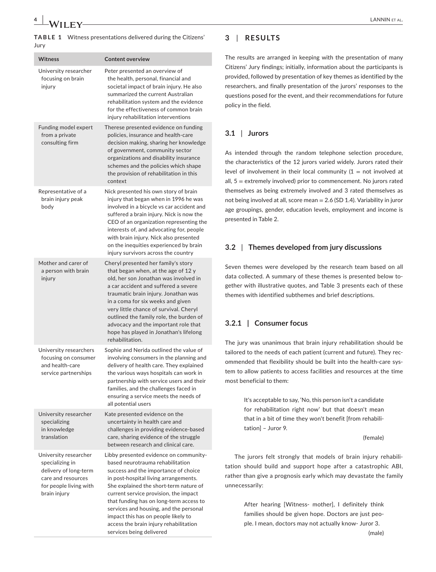**TABLE 1** Witness presentations delivered during the Citizens' Jury

| <b>Witness</b>                                                                                                                    | <b>Content overview</b>                                                                                                                                                                                                                                                                                                                                                                                                                          |
|-----------------------------------------------------------------------------------------------------------------------------------|--------------------------------------------------------------------------------------------------------------------------------------------------------------------------------------------------------------------------------------------------------------------------------------------------------------------------------------------------------------------------------------------------------------------------------------------------|
| University researcher<br>focusing on brain<br>injury                                                                              | Peter presented an overview of<br>the health, personal, financial and<br>societal impact of brain injury. He also<br>summarized the current Australian<br>rehabilitation system and the evidence<br>for the effectiveness of common brain<br>injury rehabilitation interventions                                                                                                                                                                 |
| Funding model expert<br>from a private<br>consulting firm                                                                         | Therese presented evidence on funding<br>policies, insurance and health-care<br>decision making, sharing her knowledge<br>of government, community sector<br>organizations and disability insurance<br>schemes and the policies which shape<br>the provision of rehabilitation in this<br>context                                                                                                                                                |
| Representative of a<br>brain injury peak<br>body                                                                                  | Nick presented his own story of brain<br>injury that began when in 1996 he was<br>involved in a bicycle vs car accident and<br>suffered a brain injury. Nick is now the<br>CEO of an organization representing the<br>interests of, and advocating for, people<br>with brain injury. Nick also presented<br>on the inequities experienced by brain<br>injury survivors across the country                                                        |
| Mother and carer of<br>a person with brain<br>injury                                                                              | Cheryl presented her family's story<br>that began when, at the age of 12 y<br>old, her son Jonathan was involved in<br>a car accident and suffered a severe<br>traumatic brain injury. Jonathan was<br>in a coma for six weeks and given<br>very little chance of survival. Cheryl<br>outlined the family role, the burden of<br>advocacy and the important role that<br>hope has played in Jonathan's lifelong<br>rehabilitation.               |
| University researchers<br>focusing on consumer<br>and health-care<br>service partnerships                                         | Sophie and Nerida outlined the value of<br>involving consumers in the planning and<br>delivery of health care. They explained<br>the various ways hospitals can work in<br>partnership with service users and their<br>families, and the challenges faced in<br>ensuring a service meets the needs of<br>all potential users                                                                                                                     |
| University researcher<br>specializing<br>in knowledge<br>translation                                                              | Kate presented evidence on the<br>uncertainty in health care and<br>challenges in providing evidence-based<br>care, sharing evidence of the struggle<br>between research and clinical care.                                                                                                                                                                                                                                                      |
| University researcher<br>specializing in<br>delivery of long-term<br>care and resources<br>for people living with<br>brain injury | Libby presented evidence on community-<br>based neurotrauma rehabilitation<br>success and the importance of choice<br>in post-hospital living arrangements.<br>She explained the short-term nature of<br>current service provision, the impact<br>that funding has on long-term access to<br>services and housing, and the personal<br>impact this has on people likely to<br>access the brain injury rehabilitation<br>services being delivered |

## **3** | **RESULTS**

The results are arranged in keeping with the presentation of many Citizens' Jury findings; initially, information about the participants is provided, followed by presentation of key themes as identified by the researchers, and finally presentation of the jurors' responses to the questions posed for the event, and their recommendations for future policy in the field.

### **3.1** | **Jurors**

As intended through the random telephone selection procedure, the characteristics of the 12 jurors varied widely. Jurors rated their level of involvement in their local community  $(1 = not involved at$ all,  $5 =$  extremely involved) prior to commencement. No jurors rated themselves as being extremely involved and 3 rated themselves as not being involved at all, score mean = 2.6 (SD 1.4). Variability in juror age groupings, gender, education levels, employment and income is presented in Table 2.

#### **3.2** | **Themes developed from jury discussions**

Seven themes were developed by the research team based on all data collected. A summary of these themes is presented below together with illustrative quotes, and Table 3 presents each of these themes with identified subthemes and brief descriptions.

## **3.2.1 | Consumer focus**

The jury was unanimous that brain injury rehabilitation should be tailored to the needs of each patient (current and future). They recommended that flexibility should be built into the health-care system to allow patients to access facilities and resources at the time most beneficial to them:

> It's acceptable to say, 'No, this person isn't a candidate for rehabilitation right now' but that doesn't mean that in a bit of time they won't benefit [from rehabilitation] – Juror 9.

> > (female)

The jurors felt strongly that models of brain injury rehabilitation should build and support hope after a catastrophic ABI, rather than give a prognosis early which may devastate the family unnecessarily:

> After hearing [Witness- mother], I definitely think families should be given hope. Doctors are just people. I mean, doctors may not actually know- Juror 3.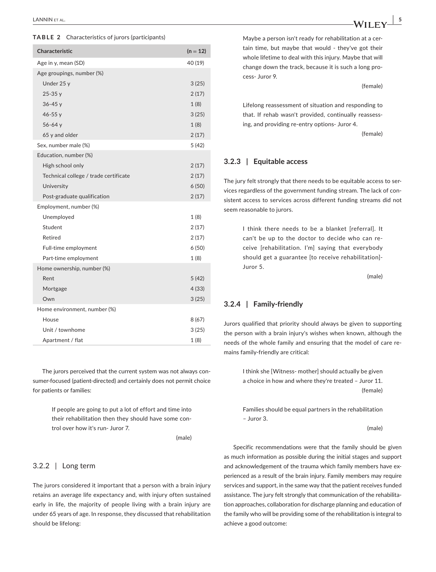#### **TABLE 2** Characteristics of jurors (participants)

| Characteristic                        | $(n = 12)$ |
|---------------------------------------|------------|
| Age in y, mean (SD)                   | 40 (19)    |
| Age groupings, number (%)             |            |
| Under 25 y                            | 3(25)      |
| $25 - 35y$                            | 2(17)      |
| $36 - 45y$                            | 1(8)       |
| $46 - 55y$                            | 3(25)      |
| $56 - 64y$                            | 1(8)       |
| 65 y and older                        | 2(17)      |
| Sex, number male (%)                  | 5(42)      |
| Education, number (%)                 |            |
| High school only                      | 2(17)      |
| Technical college / trade certificate | 2(17)      |
| University                            | 6(50)      |
| Post-graduate qualification           | 2(17)      |
| Employment, number (%)                |            |
| Unemployed                            | 1(8)       |
| Student                               | 2(17)      |
| Retired                               | 2(17)      |
| Full-time employment                  | 6(50)      |
| Part-time employment                  | 1(8)       |
| Home ownership, number (%)            |            |
| Rent                                  | 5(42)      |
| Mortgage                              | 4(33)      |
| Own                                   | 3(25)      |
| Home environment, number (%)          |            |
| House                                 | 8(67)      |
| Unit / townhome                       | 3(25)      |
| Apartment / flat                      | 1(8)       |

The jurors perceived that the current system was not always consumer-focused (patient-directed) and certainly does not permit choice for patients or families:

> If people are going to put a lot of effort and time into their rehabilitation then they should have some control over how it's run- Juror 7.

> > (male)

## 3.2.2 | Long term

The jurors considered it important that a person with a brain injury retains an average life expectancy and, with injury often sustained early in life, the majority of people living with a brain injury are under 65 years of age. In response, they discussed that rehabilitation should be lifelong:

Maybe a person isn't ready for rehabilitation at a certain time, but maybe that would - they've got their whole lifetime to deal with this injury. Maybe that will change down the track, because it is such a long process- Juror 9.

(female)

Lifelong reassessment of situation and responding to that. If rehab wasn't provided, continually reassessing, and providing re-entry options- Juror 4.

(female)

#### **3.2.3 | Equitable access**

The jury felt strongly that there needs to be equitable access to services regardless of the government funding stream. The lack of consistent access to services across different funding streams did not seem reasonable to jurors.

> I think there needs to be a blanket [referral]. It can't be up to the doctor to decide who can receive [rehabilitation. I'm] saying that everybody should get a guarantee [to receive rehabilitation]- Juror 5.

> > (male)

#### **3.2.4 | Family-friendly**

Jurors qualified that priority should always be given to supporting the person with a brain injury's wishes when known, although the needs of the whole family and ensuring that the model of care remains family-friendly are critical:

> I think she [Witness- mother] should actually be given a choice in how and where they're treated – Juror 11. (female)

> Families should be equal partners in the rehabilitation – Juror 3.

> > (male)

Specific recommendations were that the family should be given as much information as possible during the initial stages and support and acknowledgement of the trauma which family members have experienced as a result of the brain injury. Family members may require services and support, in the same way that the patient receives funded assistance. The jury felt strongly that communication of the rehabilitation approaches, collaboration for discharge planning and education of the family who will be providing some of the rehabilitation is integral to achieve a good outcome: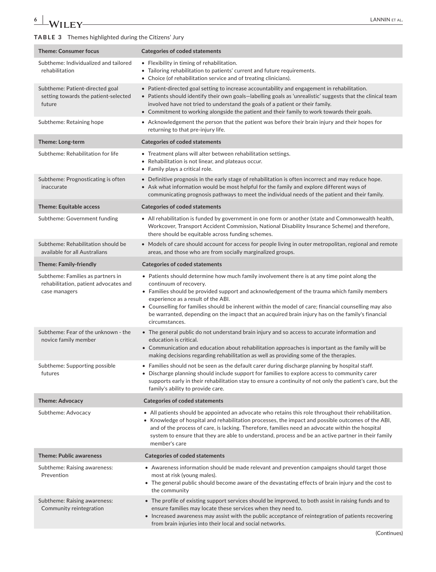## **TABLE 3** Themes highlighted during the Citizens' Jury

| <b>Theme: Consumer focus</b>                                                                | <b>Categories of coded statements</b>                                                                                                                                                                                                                                                                                                                                                                                                                                                         |
|---------------------------------------------------------------------------------------------|-----------------------------------------------------------------------------------------------------------------------------------------------------------------------------------------------------------------------------------------------------------------------------------------------------------------------------------------------------------------------------------------------------------------------------------------------------------------------------------------------|
| Subtheme: Individualized and tailored<br>rehabilitation                                     | • Flexibility in timing of rehabilitation.<br>• Tailoring rehabilitation to patients' current and future requirements.<br>• Choice (of rehabilitation service and of treating clinicians).                                                                                                                                                                                                                                                                                                    |
| Subtheme: Patient-directed goal<br>setting towards the patient-selected<br>future           | • Patient-directed goal setting to increase accountability and engagement in rehabilitation.<br>• Patients should identify their own goals-labelling goals as 'unrealistic' suggests that the clinical team<br>involved have not tried to understand the goals of a patient or their family.<br>• Commitment to working alongside the patient and their family to work towards their goals.                                                                                                   |
| Subtheme: Retaining hope                                                                    | • Acknowledgement the person that the patient was before their brain injury and their hopes for<br>returning to that pre-injury life.                                                                                                                                                                                                                                                                                                                                                         |
| Theme: Long-term                                                                            | <b>Categories of coded statements</b>                                                                                                                                                                                                                                                                                                                                                                                                                                                         |
| Subtheme: Rehabilitation for life                                                           | • Treatment plans will alter between rehabilitation settings.<br>• Rehabilitation is not linear, and plateaus occur.<br>• Family plays a critical role.                                                                                                                                                                                                                                                                                                                                       |
| Subtheme: Prognosticating is often<br>inaccurate                                            | • Definitive prognosis in the early stage of rehabilitation is often incorrect and may reduce hope.<br>• Ask what information would be most helpful for the family and explore different ways of<br>communicating prognosis pathways to meet the individual needs of the patient and their family.                                                                                                                                                                                            |
| <b>Theme: Equitable access</b>                                                              | <b>Categories of coded statements</b>                                                                                                                                                                                                                                                                                                                                                                                                                                                         |
| Subtheme: Government funding                                                                | • All rehabilitation is funded by government in one form or another (state and Commonwealth health,<br>Workcover, Transport Accident Commission, National Disability Insurance Scheme) and therefore,<br>there should be equitable across funding schemes.                                                                                                                                                                                                                                    |
| Subtheme: Rehabilitation should be<br>available for all Australians                         | • Models of care should account for access for people living in outer metropolitan, regional and remote<br>areas, and those who are from socially marginalized groups.                                                                                                                                                                                                                                                                                                                        |
| Theme: Family-friendly                                                                      | <b>Categories of coded statements</b>                                                                                                                                                                                                                                                                                                                                                                                                                                                         |
| Subtheme: Families as partners in<br>rehabilitation, patient advocates and<br>case managers | • Patients should determine how much family involvement there is at any time point along the<br>continuum of recovery.<br>• Families should be provided support and acknowledgement of the trauma which family members<br>experience as a result of the ABI.<br>• Counselling for families should be inherent within the model of care; financial counselling may also<br>be warranted, depending on the impact that an acquired brain injury has on the family's financial<br>circumstances. |
| Subtheme: Fear of the unknown - the<br>novice family member                                 | • The general public do not understand brain injury and so access to accurate information and<br>education is critical.<br>• Communication and education about rehabilitation approaches is important as the family will be<br>making decisions regarding rehabilitation as well as providing some of the therapies.                                                                                                                                                                          |
| Subtheme: Supporting possible<br>futures                                                    | • Families should not be seen as the default carer during discharge planning by hospital staff.<br>• Discharge planning should include support for families to explore access to community carer<br>supports early in their rehabilitation stay to ensure a continuity of not only the patient's care, but the<br>family's ability to provide care.                                                                                                                                           |
| <b>Theme: Advocacy</b>                                                                      | <b>Categories of coded statements</b>                                                                                                                                                                                                                                                                                                                                                                                                                                                         |
| Subtheme: Advocacy                                                                          | $\bullet$ All patients should be appointed an advocate who retains this role throughout their rehabilitation.<br>• Knowledge of hospital and rehabilitation processes, the impact and possible outcomes of the ABI,<br>and of the process of care, is lacking. Therefore, families need an advocate within the hospital<br>system to ensure that they are able to understand, process and be an active partner in their family<br>member's care                                               |
| <b>Theme: Public awareness</b>                                                              | <b>Categories of coded statements</b>                                                                                                                                                                                                                                                                                                                                                                                                                                                         |
| Subtheme: Raising awareness:<br>Prevention                                                  | • Awareness information should be made relevant and prevention campaigns should target those<br>most at risk (young males).<br>• The general public should become aware of the devastating effects of brain injury and the cost to<br>the community                                                                                                                                                                                                                                           |
| Subtheme: Raising awareness:<br>Community reintegration                                     | • The profile of existing support services should be improved, to both assist in raising funds and to<br>ensure families may locate these services when they need to.<br>• Increased awareness may assist with the public acceptance of reintegration of patients recovering<br>from brain injuries into their local and social networks.                                                                                                                                                     |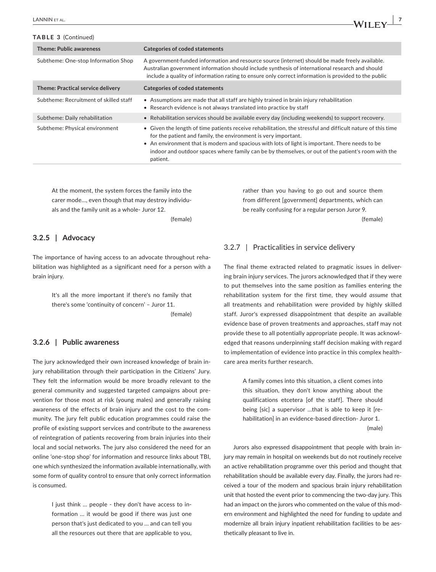| <b>TABLE 3 (Continued)</b>             |                                                                                                                                                                                                                                                                                                                                                                                                    |
|----------------------------------------|----------------------------------------------------------------------------------------------------------------------------------------------------------------------------------------------------------------------------------------------------------------------------------------------------------------------------------------------------------------------------------------------------|
| <b>Theme: Public awareness</b>         | <b>Categories of coded statements</b>                                                                                                                                                                                                                                                                                                                                                              |
| Subtheme: One-stop Information Shop    | A government-funded information and resource source (internet) should be made freely available.<br>Australian government information should include synthesis of international research and should<br>include a quality of information rating to ensure only correct information is provided to the public                                                                                         |
| Theme: Practical service delivery      | Categories of coded statements                                                                                                                                                                                                                                                                                                                                                                     |
| Subtheme: Recruitment of skilled staff | • Assumptions are made that all staff are highly trained in brain injury rehabilitation<br>• Research evidence is not always translated into practice by staff                                                                                                                                                                                                                                     |
| Subtheme: Daily rehabilitation         | • Rehabilitation services should be available every day (including weekends) to support recovery.                                                                                                                                                                                                                                                                                                  |
| Subtheme: Physical environment         | • Given the length of time patients receive rehabilitation, the stressful and difficult nature of this time<br>for the patient and family, the environment is very important.<br>• An environment that is modern and spacious with lots of light is important. There needs to be<br>indoor and outdoor spaces where family can be by themselves, or out of the patient's room with the<br>patient. |

At the moment, the system forces the family into the carer mode…, even though that may destroy individuals and the family unit as a whole- Juror 12.

(female)

#### **3.2.5 | Advocacy**

The importance of having access to an advocate throughout rehabilitation was highlighted as a significant need for a person with a brain injury.

> It's all the more important if there's no family that there's some 'continuity of concern' – Juror 11. (female)

#### **3.2.6 | Public awareness**

The jury acknowledged their own increased knowledge of brain injury rehabilitation through their participation in the Citizens' Jury. They felt the information would be more broadly relevant to the general community and suggested targeted campaigns about prevention for those most at risk (young males) and generally raising awareness of the effects of brain injury and the cost to the community. The jury felt public education programmes could raise the profile of existing support services and contribute to the awareness of reintegration of patients recovering from brain injuries into their local and social networks. The jury also considered the need for an online 'one-stop shop' for information and resource links about TBI, one which synthesized the information available internationally, with some form of quality control to ensure that only correct information is consumed.

> I just think … people - they don't have access to information … it would be good if there was just one person that's just dedicated to you … and can tell you all the resources out there that are applicable to you,

rather than you having to go out and source them from different [government] departments, which can be really confusing for a regular person Juror 9. (female)

#### 3.2.7 | Practicalities in service delivery

The final theme extracted related to pragmatic issues in delivering brain injury services. The jurors acknowledged that if they were to put themselves into the same position as families entering the rehabilitation system for the first time, they would *assume* that all treatments and rehabilitation were provided by highly skilled staff. Juror's expressed disappointment that despite an available evidence base of proven treatments and approaches, staff may not provide these to all potentially appropriate people. It was acknowledged that reasons underpinning staff decision making with regard to implementation of evidence into practice in this complex healthcare area merits further research.

> A family comes into this situation, a client comes into this situation, they don't know anything about the qualifications etcetera [of the staff]. There should being [sic] a supervisor …that is able to keep it [rehabilitation] in an evidence-based direction- Juror 1. (male)

Jurors also expressed disappointment that people with brain injury may remain in hospital on weekends but do not routinely receive an active rehabilitation programme over this period and thought that rehabilitation should be available every day. Finally, the jurors had received a tour of the modern and spacious brain injury rehabilitation unit that hosted the event prior to commencing the two-day jury. This had an impact on the jurors who commented on the value of this modern environment and highlighted the need for funding to update and modernize all brain injury inpatient rehabilitation facilities to be aesthetically pleasant to live in.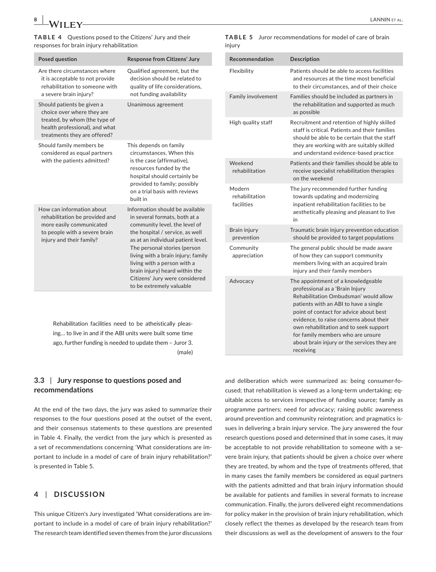**TABLE 4**  Questions posed to the Citizens' Jury and their responses for brain injury rehabilitation

| <b>Posed question</b>                                                                                                                                       | <b>Response from Citizens' Jury</b>                                                                                                                                                                                                                                                                                                                                             |
|-------------------------------------------------------------------------------------------------------------------------------------------------------------|---------------------------------------------------------------------------------------------------------------------------------------------------------------------------------------------------------------------------------------------------------------------------------------------------------------------------------------------------------------------------------|
| Are there circumstances where<br>it is acceptable to not provide<br>rehabilitation to someone with<br>a severe brain injury?                                | Qualified agreement, but the<br>decision should be related to<br>quality of life considerations,<br>not funding availability                                                                                                                                                                                                                                                    |
| Should patients be given a<br>choice over where they are<br>treated, by whom (the type of<br>health professional), and what<br>treatments they are offered? | Unanimous agreement                                                                                                                                                                                                                                                                                                                                                             |
| Should family members be<br>considered as equal partners<br>with the patients admitted?                                                                     | This depends on family<br>circumstances. When this<br>is the case (affirmative),<br>resources funded by the<br>hospital should certainly be<br>provided to family; possibly<br>on a trial basis with reviews<br>built in                                                                                                                                                        |
| How can information about<br>rehabilitation be provided and<br>more easily communicated<br>to people with a severe brain<br>injury and their family?        | Information should be available<br>in several formats, both at a<br>community level, the level of<br>the hospital / service, as well<br>as at an individual patient level.<br>The personal stories (person<br>living with a brain injury; family<br>living with a person with a<br>brain injury) heard within the<br>Citizens' Jury were considered<br>to be extremely valuable |

Rehabilitation facilities need to be atheistically pleasing… to live in and if the ABI units were built some time ago, further funding is needed to update them – Juror 3. (male)

## **3.3** | **Jury response to questions posed and recommendations**

At the end of the two days, the jury was asked to summarize their responses to the four questions posed at the outset of the event, and their consensus statements to these questions are presented in Table 4. Finally, the verdict from the jury which is presented as a set of recommendations concerning 'What considerations are important to include in a model of care of brain injury rehabilitation?' is presented in Table 5.

#### **4** | **DISCUSSION**

This unique Citizen's Jury investigated 'What considerations are important to include in a model of care of brain injury rehabilitation?' The research team identified seven themes from the juror discussions

| Recommendation                         | <b>Description</b>                                                                                                                                                                                                                                                                                                                                                                      |
|----------------------------------------|-----------------------------------------------------------------------------------------------------------------------------------------------------------------------------------------------------------------------------------------------------------------------------------------------------------------------------------------------------------------------------------------|
| Flexibility                            | Patients should be able to access facilities<br>and resources at the time most beneficial<br>to their circumstances, and of their choice                                                                                                                                                                                                                                                |
| Family involvement                     | Families should be included as partners in<br>the rehabilitation and supported as much<br>as possible                                                                                                                                                                                                                                                                                   |
| High quality staff                     | Recruitment and retention of highly skilled<br>staff is critical. Patients and their families<br>should be able to be certain that the staff<br>they are working with are suitably skilled<br>and understand evidence-based practice                                                                                                                                                    |
| Weekend<br>rehabilitation              | Patients and their families should be able to<br>receive specialist rehabilitation therapies<br>on the weekend                                                                                                                                                                                                                                                                          |
| Modern<br>rehabilitation<br>facilities | The jury recommended further funding<br>towards updating and modernizing<br>inpatient rehabilitation facilities to be<br>aesthetically pleasing and pleasant to live<br>in                                                                                                                                                                                                              |
| Brain injury<br>prevention             | Traumatic brain injury prevention education<br>should be provided to target populations                                                                                                                                                                                                                                                                                                 |
| Community<br>appreciation              | The general public should be made aware<br>of how they can support community<br>members living with an acquired brain<br>injury and their family members                                                                                                                                                                                                                                |
| Advocacy                               | The appointment of a knowledgeable<br>professional as a 'Brain Injury<br>Rehabilitation Ombudsman' would allow<br>patients with an ABI to have a single<br>point of contact for advice about best<br>evidence, to raise concerns about their<br>own rehabilitation and to seek support<br>for family members who are unsure<br>about brain injury or the services they are<br>receiving |

and deliberation which were summarized as: being consumer-focused; that rehabilitation is viewed as a long-term undertaking; equitable access to services irrespective of funding source; family as programme partners; need for advocacy; raising public awareness around prevention and community reintegration; and pragmatics issues in delivering a brain injury service. The jury answered the four research questions posed and determined that in some cases, it may be acceptable to not provide rehabilitation to someone with a severe brain injury, that patients should be given a choice over where they are treated, by whom and the type of treatments offered, that in many cases the family members be considered as equal partners with the patients admitted and that brain injury information should be available for patients and families in several formats to increase communication. Finally, the jurors delivered eight recommendations for policy maker in the provision of brain injury rehabilitation, which closely reflect the themes as developed by the research team from their discussions as well as the development of answers to the four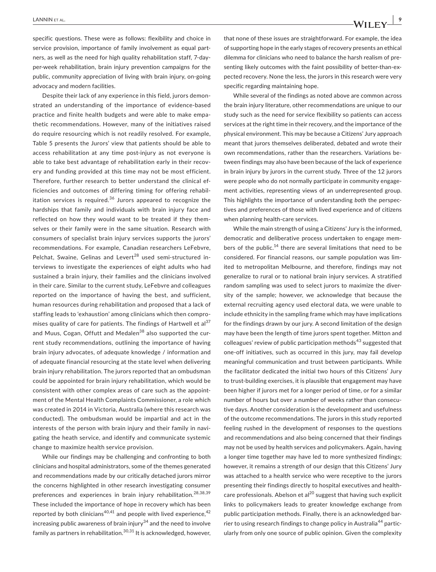**LANNIN ET AL. 1999** specific questions. These were as follows: flexibility and choice in

service provision, importance of family involvement as equal partners, as well as the need for high quality rehabilitation staff, 7-dayper-week rehabilitation, brain injury prevention campaigns for the public, community appreciation of living with brain injury, on-going advocacy and modern facilities.

Despite their lack of any experience in this field, jurors demonstrated an understanding of the importance of evidence-based practice and finite health budgets and were able to make empathetic recommendations. However, many of the initiatives raised do require resourcing which is not readily resolved. For example, Table 5 presents the Jurors' view that patients should be able to access rehabilitation at any time post-injury as not everyone is able to take best advantage of rehabilitation early in their recovery and funding provided at this time may not be most efficient. Therefore, further research to better understand the clinical efficiencies and outcomes of differing timing for offering rehabilitation services is required.<sup>36</sup> Jurors appeared to recognize the hardships that family and individuals with brain injury face and reflected on how they would want to be treated if they themselves or their family were in the same situation. Research with consumers of specialist brain injury services supports the jurors' recommendations. For example, Canadian researchers LeFebvre, Pelchat, Swaine, Gelinas and Levert $^{28}$  used semi-structured interviews to investigate the experiences of eight adults who had sustained a brain injury, their families and the clinicians involved in their care. Similar to the current study, LeFebvre and colleagues reported on the importance of having the best, and sufficient, human resources during rehabilitation and proposed that a lack of staffing leads to 'exhaustion' among clinicians which then compromises quality of care for patients. The findings of Hartwell et al $^{37}$ and Muus, Cogan, Offutt and Medalen<sup>38</sup> also supported the current study recommendations, outlining the importance of having brain injury advocates, of adequate knowledge / information and of adequate financial resourcing at the state level when delivering brain injury rehabilitation. The jurors reported that an ombudsman could be appointed for brain injury rehabilitation, which would be consistent with other complex areas of care such as the appointment of the Mental Health Complaints Commissioner, a role which was created in 2014 in Victoria, Australia (where this research was conducted). The ombudsman would be impartial and act in the interests of the person with brain injury and their family in navigating the heath service, and identify and communicate systemic change to maximize health service provision.

While our findings may be challenging and confronting to both clinicians and hospital administrators, some of the themes generated and recommendations made by our critically detached jurors mirror the concerns highlighted in other research investigating consumer preferences and experiences in brain injury rehabilitation.<sup>28,38,39</sup> These included the importance of hope in recovery which has been reported by both clinicians<sup>40,41</sup> and people with lived experience,<sup>42</sup> increasing public awareness of brain injury $34$  and the need to involve family as partners in rehabilitation.  $30,31$  It is acknowledged, however, that none of these issues are straightforward. For example, the idea of supporting hope in the early stages of recovery presents an ethical dilemma for clinicians who need to balance the harsh realism of pre-

specific regarding maintaining hope. While several of the findings as noted above are common across the brain injury literature, other recommendations are unique to our study such as the need for service flexibility so patients can access services at the right time in their recovery, and the importance of the physical environment. This may be because a Citizens' Jury approach meant that jurors themselves deliberated, debated and wrote their own recommendations, rather than the researchers. Variations between findings may also have been because of the lack of experience in brain injury by jurors in the current study. Three of the 12 jurors were people who do not normally participate in community engagement activities, representing views of an underrepresented group. This highlights the importance of understanding *both* the perspectives and preferences of those with lived experience and of citizens when planning health-care services.

senting likely outcomes with the faint possibility of better-than-expected recovery. None the less, the jurors in this research were very

While the main strength of using a Citizens' Jury is the informed, democratic and deliberative process undertaken to engage members of the public.<sup>14</sup> there are several limitations that need to be considered. For financial reasons, our sample population was limited to metropolitan Melbourne, and therefore, findings may not generalize to rural or to national brain injury services. A stratified random sampling was used to select jurors to maximize the diversity of the sample; however, we acknowledge that because the external recruiting agency used electoral data, we were unable to include ethnicity in the sampling frame which may have implications for the findings drawn by our jury. A second limitation of the design may have been the length of time jurors spent together. Mitton and colleagues' review of public participation methods<sup>43</sup> suggested that one-off initiatives, such as occurred in this jury, may fail develop meaningful communication and trust between participants. While the facilitator dedicated the initial two hours of this Citizens' Jury to trust-building exercises, it is plausible that engagement may have been higher if jurors met for a longer period of time, or for a similar number of hours but over a number of weeks rather than consecutive days. Another consideration is the development and usefulness of the outcome recommendations. The jurors in this study reported feeling rushed in the development of responses to the questions and recommendations and also being concerned that their findings may not be used by health services and policymakers. Again, having a longer time together may have led to more synthesized findings; however, it remains a strength of our design that this Citizens' Jury was attached to a health service who were receptive to the jurors presenting their findings directly to hospital executives and healthcare professionals. Abelson et al $^{20}$  suggest that having such explicit links to policymakers leads to greater knowledge exchange from public participation methods. Finally, there is an acknowledged barrier to using research findings to change policy in Australia<sup>44</sup> particularly from only one source of public opinion. Given the complexity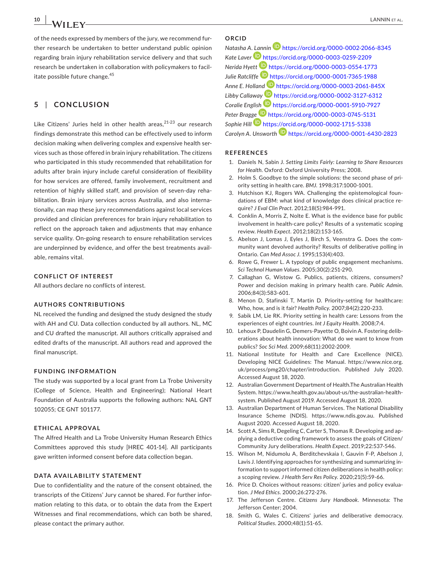of the needs expressed by members of the jury, we recommend further research be undertaken to better understand public opinion regarding brain injury rehabilitation service delivery and that such research be undertaken in collaboration with policymakers to facilitate possible future change.<sup>45</sup>

#### **5** | **CONCLUSION**

Like Citizens' Juries held in other health areas, $21-23$  our research findings demonstrate this method can be effectively used to inform decision making when delivering complex and expensive health services such as those offered in brain injury rehabilitation. The citizens who participated in this study recommended that rehabilitation for adults after brain injury include careful consideration of flexibility for how services are offered, family involvement, recruitment and retention of highly skilled staff, and provision of seven-day rehabilitation. Brain injury services across Australia, and also internationally, can map these jury recommendations against local services provided and clinician preferences for brain injury rehabilitation to reflect on the approach taken and adjustments that may enhance service quality. On-going research to ensure rehabilitation services are underpinned by evidence, and offer the best treatments available, remains vital.

#### **CONFLICT OF INTEREST**

All authors declare no conflicts of interest.

#### **AUTHORS CONTRIBUTIONS**

NL received the funding and designed the study designed the study with AH and CU. Data collection conducted by all authors. NL, MC and CU drafted the manuscript. All authors critically appraised and edited drafts of the manuscript. All authors read and approved the final manuscript.

#### **FUNDING INFORMATION**

The study was supported by a local grant from La Trobe University (College of Science, Health and Engineering); National Heart Foundation of Australia supports the following authors: NAL GNT 102055; CE GNT 101177.

#### **ETHICAL APPROVAL**

The Alfred Health and La Trobe University Human Research Ethics Committees approved this study [HREC 401-14]. All participants gave written informed consent before data collection began.

#### **DATA AVAILABILITY STATEMENT**

Due to confidentiality and the nature of the consent obtained, the transcripts of the Citizens' Jury cannot be shared. For further information relating to this data, or to obtain the data from the Expert Witnesses and final recommendations, which can both be shared, please contact the primary author.

#### **ORCID**

*Natasha A[. Lan](https://orcid.org/0000-0003-0259-2209)ni[n](https://orcid.org/0000-0002-2066-8345)* <https://orcid.org/0000-0002-2066-8345> *Kate Laver* <https://orcid.org/0000-0003-0259-2209> *Nerida Hyett* <https://orcid.org/0000-0003-0554-1773> *Julie Ratcliffe* <https://orcid.org/0000-0001-7365-1988> *Anne E. Hollan[d](https://orcid.org/0000-0002-3127-6312)* <https://orcid.org/0000-0003-2061-845X> *Libby Callawa[y](https://orcid.org/0000-0001-5910-7927)* <https://orcid.org/0000-0002-3127-6312> *Coralie Engli[sh](https://orcid.org/0000-0003-0745-5131)* <https://orcid.org/0000-0001-5910-7927> *Peter Brag[ge](https://orcid.org/0000-0002-1715-5338)* <https://orcid.org/0000-0003-0745-5131> *Sophie Hill* <https://orcid.org/0000-0002-1715-5338> *Carolyn A. Unsworth* <https://orcid.org/0000-0001-6430-2823>

#### **REFERENCES**

- 1. Daniels N, Sabin J. *Setting Limits Fairly: Learning to Share Resources for Health*. Oxford: Oxford University Press; 2008.
- 2. Holm S. Goodbye to the simple solutions: the second phase of priority setting in health care. *BMJ*. 1998;317:1000-1001.
- 3. Hutchison KJ, Rogers WA. Challenging the epistemological foundations of EBM: what kind of knowledge does clinical practice require? *J Eval Clin Pract*. 2012;18(5):984-991.
- 4. Conklin A, Morris Z, Nolte E. What is the evidence base for public involvement in health-care policy? Results of a systematic scoping review. *Health Expect*. 2012;18(2):153-165.
- 5. Abelson J, Lomas J, Eyles J, Birch S, Veenstra G. Does the community want devolved authority? Results of deliberative polling in Ontario. *Can Med Assoc J*. 1995;153(4):403.
- 6. Rowe G, Frewer L. A typology of public engagement mechanisms. *Sci Technol Human Values*. 2005;30(2):251-290.
- 7. Callaghan G, Wistow G. Publics, patients, citizens, consumers? Power and decision making in primary health care. *Public Admin*. 2006;84(3):583-601.
- 8. Menon D, Stafinski T, Martin D. Priority-setting for healthcare: Who, how, and is it fair? *Health Policy*. 2007;84(2):220-233.
- Sabik LM, Lie RK. Priority setting in health care: Lessons from the experiences of eight countries. *Int J Equity Health*. 2008;7:4.
- 10. Lehoux P, Daudelin G, Demers-Payette O, Boivin A. Fostering deliberations about health innovation: What do we want to know from publics? *Soc Sci Med*. 2009;68(11):2002-2009.
- 11. National Institute for Health and Care Excellence (NICE). Developing NICE Guidelines: The Manual. [https://www.nice.org.](https://www.nice.org.uk/process/pmg20/chapter/introduction) [uk/process/pmg20/chapter/introduction](https://www.nice.org.uk/process/pmg20/chapter/introduction). Published July 2020. Accessed August 18, 2020.
- 12. Australian Government Department of Health.The Australian Health System. [https://www.health.gov.au/about-us/the-australian-health](https://www.health.gov.au/about-us/the-australian-health-system)[system.](https://www.health.gov.au/about-us/the-australian-health-system) Published August 2019. Accessed August 18, 2020.
- 13. Australian Department of Human Services. The National Disability Insurance Scheme (NDIS). [https://www.ndis.gov.au.](https://www.ndis.gov.au) Published August 2020. Accessed August 18, 2020.
- 14. Scott A, Sims R, Degeling C, Carter S, Thomas R. Developing and applying a deductive coding framework to assess the goals of Citizen/ Community Jury deliberations. *Health Expect*. 2019;22:537-546.
- 15. Wilson M, Nidumolu A, Berditchevskaia I, Gauvin F-P, Abelson J, Lavis J. Identifying approaches for synthesizing and summarizing information to support informed citizen deliberations in health policy: a scoping review. *J Health Serv Res Policy*. 2020;21(5):59-66.
- 16. Price D. Choices without reasons: citizen' juries and policy evaluation. *J Med Ethics*. 2000;26:272-276.
- 17. The Jefferson Centre. *Citizens Jury Handbook*. Minnesota: The Jefferson Center; 2004.
- 18. Smith G, Wales C. Citizens' juries and deliberative democracy. *Political Studies*. 2000;48(1):51-65.